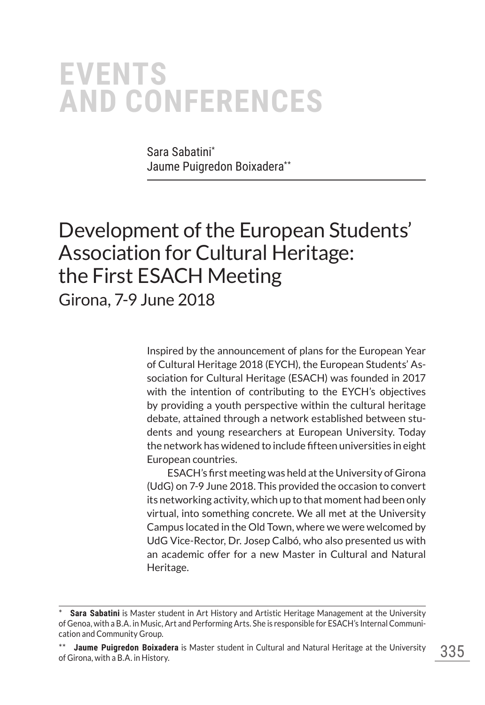# **EVENTS AND CONFERENCES**

Sara Sabatini\* Jaume Puigredon Boixadera\*\*

## Development of the European Students' Association for Cultural Heritage: the First ESACH Meeting Girona, 7-9 June 2018

Inspired by the announcement of plans for the European Year of Cultural Heritage 2018 (EYCH), the European Students' Association for Cultural Heritage (ESACH) was founded in 2017 with the intention of contributing to the EYCH's objectives by providing a youth perspective within the cultural heritage debate, attained through a network established between students and young researchers at European University. Today the network has widened to include fifteen universities in eight European countries.

ESACH's first meeting was held at the University of Girona (UdG) on 7-9 June 2018. This provided the occasion to convert its networking activity, which up to that moment had been only virtual, into something concrete. We all met at the University Campus located in the Old Town, where we were welcomed by UdG Vice-Rector, Dr. Josep Calbó, who also presented us with an academic offer for a new Master in Cultural and Natural Heritage.

**Sara Sabatini** is Master student in Art History and Artistic Heritage Management at the University of Genoa, with a B.A. in Music, Art and Performing Arts. She is responsible for ESACH's Internal Communication and Community Group.

**Jaume Puigredon Boixadera** is Master student in Cultural and Natural Heritage at the University of Girona, with a B.A. in History.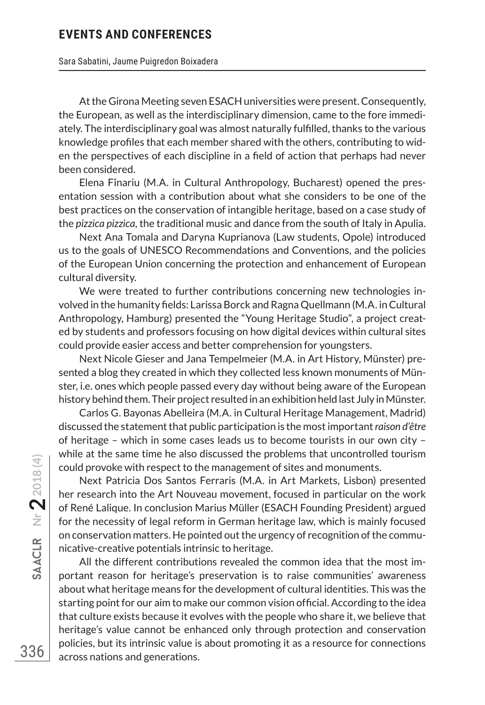#### **EVENTS AND CONFERENCES**

#### Sara Sabatini, Jaume Puigredon Boixadera

At the Girona Meeting seven ESACH universities were present. Consequently, the European, as well as the interdisciplinary dimension, came to the fore immediately. The interdisciplinary goal was almost naturally fulfilled, thanks to the various knowledge profiles that each member shared with the others, contributing to widen the perspectives of each discipline in a field of action that perhaps had never been considered.

Elena Fînariu (M.A. in Cultural Anthropology, Bucharest) opened the presentation session with a contribution about what she considers to be one of the best practices on the conservation of intangible heritage, based on a case study of the *pizzica pizzica*, the traditional music and dance from the south of Italy in Apulia.

Next Ana Tomala and Daryna Kuprianova (Law students, Opole) introduced us to the goals of UNESCO Recommendations and Conventions, and the policies of the European Union concerning the protection and enhancement of European cultural diversity.

We were treated to further contributions concerning new technologies involved in the humanity fields: Larissa Borck and Ragna Quellmann (M.A. in Cultural Anthropology, Hamburg) presented the "Young Heritage Studio", a project created by students and professors focusing on how digital devices within cultural sites could provide easier access and better comprehension for youngsters.

Next Nicole Gieser and Jana Tempelmeier (M.A. in Art History, Münster) presented a blog they created in which they collected less known monuments of Münster, i.e. ones which people passed every day without being aware of the European history behind them. Their project resulted in an exhibition held last July in Münster.

Carlos G. Bayonas Abelleira (M.A. in Cultural Heritage Management, Madrid) discussed the statement that public participation is the most important *raison d'être* of heritage – which in some cases leads us to become tourists in our own city – while at the same time he also discussed the problems that uncontrolled tourism could provoke with respect to the management of sites and monuments.

Next Patricia Dos Santos Ferraris (M.A. in Art Markets, Lisbon) presented her research into the Art Nouveau movement, focused in particular on the work of René Lalique. In conclusion Marius Müller (ESACH Founding President) argued for the necessity of legal reform in German heritage law, which is mainly focused on conservation matters. He pointed out the urgency of recognition of the communicative-creative potentials intrinsic to heritage.

All the different contributions revealed the common idea that the most important reason for heritage's preservation is to raise communities' awareness about what heritage means for the development of cultural identities. This was the starting point for our aim to make our common vision official. According to the idea that culture exists because it evolves with the people who share it, we believe that heritage's value cannot be enhanced only through protection and conservation policies, but its intrinsic value is about promoting it as a resource for connections across nations and generations.

336